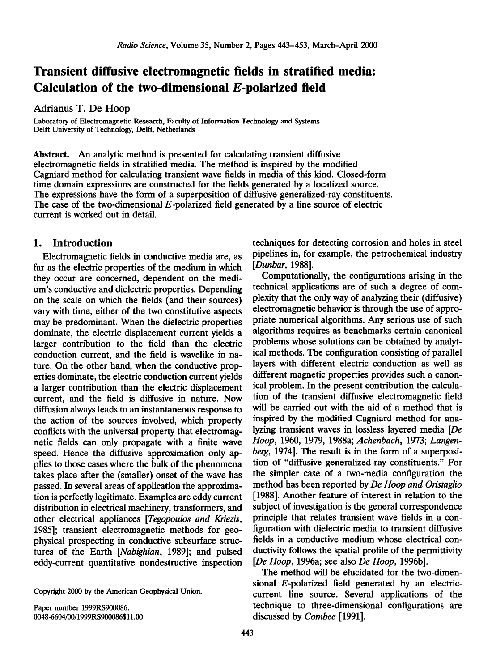# **Transient diffusive electromagnetic fields in stratified media: Calculation of the two-dimensional E-polarized field**

**Adrianus T. De Hoop** 

**Laboratory of Electromagnetic Research, Faculty of Information Technology and Systems Delft University of Technology, Delft, Netherlands** 

**Abstract. An analytic method is presented for calculating transient diffusive electromagnetic fields in stratified media. The method is inspired by the modified Cagniard method for calculating transient wave fields in media of this kind. Closed-form time domain expressions are constructed for the fields generated by a localized source. The expressions have the form of a superposition of diffusive generalized-ray constituents. The case of the two-dimensional E-polarized field generated by a line source of electric current is worked out in detail.** 

### **1. Introduction**

**Electromagnetic fields in conductive media are, as far as the electric properties of the medium in which they occur are concerned, dependent on the medium's conductive and dielectric properties. Depending on the scale on which the fields (and their sources) vary with time, either of the two constitutive aspects may be predominant. When the dielectric properties dominate, the electric displacement current yields a larger contribution to the field than the electric conduction current, and the field is wavelike in nature. On the other hand, when the conductive properties dominate, the electric conduction current yields a larger contribution than the electric displacement current, and the field is diffusive in nature. Now diffusion always leads to an instantaneous response to the action of the sources involved, which property conflicts with the universal property that electromagnetic fields can only propagate with a finite wave speed. Hence the diffusive approximation only applies to those cases where the bulk of the phenomena takes place after the (smaller) onset of the wave has passed. In several areas of application the approximation is perfectly legitimate. Examples are eddy current distribution in electrical machinery, transformers, and other electrical appliances [Tegopoulos and Kriezis, 1985]; transient electromagnetic methods for geophysical prospecting in conductive subsurface structures of the Earth [Nabighian, 1989]; and pulsed eddy-current quantitative nondestructive inspection** 

**Copyright 2000 by the American Geophysical Union.** 

**Paper number 1999RS900086. 0048-6604/00/1999RS900086511.00** 

**techniques for detecting corrosion and holes in steel pipelines in, for example, the petrochemical industry [Dunbar, 1988].** 

**Computationally, the configurations arising in the technical applications are of such a degree of complexity that the only way of analyzing their (diffusive) electromagnetic behavior is through the use of appropriate numerical algorithms. Any serious use of such algorithms requires as benchmarks certain canonical problems whose solutions can be obtained by analytical methods. The configuration consisting of parallel layers with different electric conduction as well as different magnetic properties provides such a canonical problem. In the present contribution the calculation of the transient diffusive electromagnetic field will be carried out with the aid of a method that is inspired by the modified Cagniard method for analyzing transient waves in lossless layered media [De Hoop, 1960, 1979, 1988a; Achenbach, 1973; Langenberg, 1974]. The result is in the form of a superposition of "diffusive generalized-ray constituents." For the simpler case of a two-media configuration the method has been reported by De Hoop and Oristaglio [1988]. Another feature of interest in relation to the subject of investigation is the general correspondence principle that relates transient wave fields in a configuration with dielectric media to transient diffusive fields in a conductive medium whose electrical conductivity follows the spatial profile of the permittivity [De Hoop, 1996a; see also De Hoop, 1996b].** 

**The method will be elucidated for the two-dimensional E-polarized field generated by an electriccurrent line source. Several applications of the technique to three-dimensional configurations are discussed by Combee [1991].**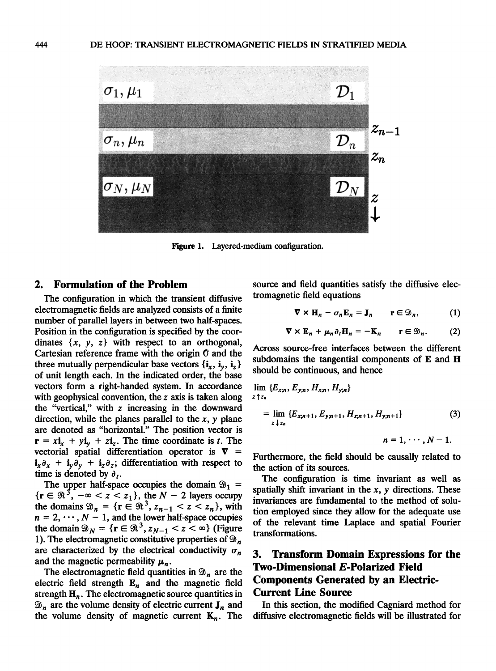

**Figure 1. Layered-medium configuration.** 

### **2. Formulation of the Problem**

**The configuration in which the transient diffusive electromagnetic fidds are analyzed consists of a finite number of parallel layers in between two half-spaces. Position in the configuration is specified by the coor**dinates  $\{x, y, z\}$  with respect to an orthogonal, Cartesian reference frame with the origin  $\mathbf 0$  and the three mutually perpendicular base vectors  $\{i_{r}, i_{v}, i_{z}\}$ **of unit length each. In the indicated order, the base vectors form a right-handed system. In accordance with geophysical convention, the z axis is taken along the "vertical," with z increasing in the downward direction, while the planes parallel to the x, y plane are denoted as "horizontal." The position vector is**   $\mathbf{r} = x\mathbf{i}_x + y\mathbf{i}_y + z\mathbf{i}_z$ . The time coordinate is t. The vectorial spatial differentiation operator is  $\nabla$  =  $\mathbf{i}_x \partial_x + \mathbf{i}_y \partial_y + \mathbf{i}_z \partial_z$ ; differentiation with respect to time is denoted by  $\partial_t$ .

The upper half-space occupies the domain  $\mathfrak{D}_1$  =  ${\rm tr} \in \Re^3$ ,  $-\infty < z < z_1$ , the  $N-2$  layers occupy the domains  $\mathfrak{D}_n = \{r \in \mathfrak{R}^3, z_{n-1} < z < z_n\}$ , with  $n = 2, \dots, N - 1$ , and the lower half-space occupies the domain  $\mathcal{D}_N = \{ \mathbf{r} \in \mathcal{R}^3, z_{N-1} < z < \infty \}$  (Figure 1). The electromagnetic constitutive properties of  $\mathfrak{D}_n$ are characterized by the electrical conductivity  $\sigma_n$ and the magnetic permeability  $\mu_n$ .

The electromagnetic field quantities in  $\mathfrak{D}_n$  are the electric field strength  $E_n$  and the magnetic field strength  $H_n$ . The electromagnetic source quantities in  $\mathfrak{D}_n$  are the volume density of electric current  $J_n$  and the volume density of magnetic current  $K_n$ . The **source and field quantities satisfy the diffusive electromagnetic field equations** 

$$
\nabla \times \mathbf{H}_n - \sigma_n \mathbf{E}_n = \mathbf{J}_n \qquad \mathbf{r} \in \mathfrak{D}_n, \tag{1}
$$

$$
\nabla \times \mathbf{E}_n + \mu_n \partial_t \mathbf{H}_n = -\mathbf{K}_n \qquad \mathbf{r} \in \mathfrak{D}_n. \tag{2}
$$

**Across source-free interfaces between the different subdomains the tangential components of E and H should be continuous, and hence** 

$$
\lim_{z \uparrow z_n} \{E_{x,n}, E_{y,n}, H_{x,n}, H_{y,n}\}\
$$
\n
$$
= \lim_{z \downarrow z_n} \{E_{x,n+1}, E_{y,n+1}, H_{x,n+1}, H_{y,n+1}\} \tag{3}
$$
\n
$$
n = 1, \dots, N-1.
$$

**Furthermore, the field should be causally related to the action of its sources.** 

**The configuration is time invariant as well as spatially shift invariant in the x, y directions. These invariances are fundamental to the method of solution employed since they allow for the adequate use of the relevant time Laplace and spatial Fourier transformations.** 

## **3. Transform Domain Expressions for the Two-Dimensional E-Polarized Field Components Generated by an Electric-Current Line Source**

**In this section, the modified Cagniard method for diffusive electromagnetic fields will be illustrated for**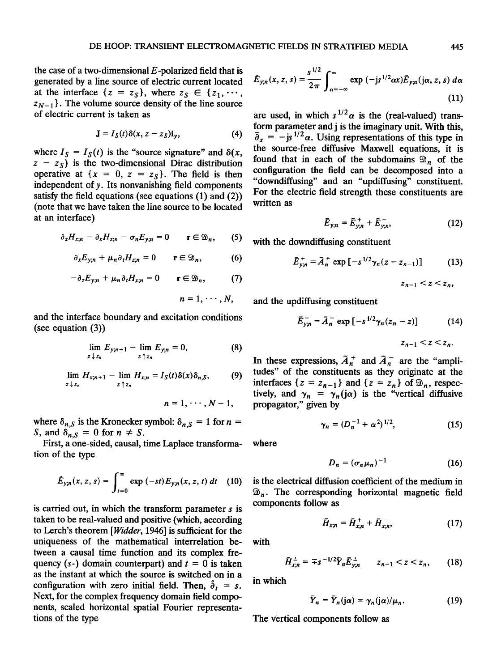**the case of a two-dimensional E-polarized field that is generated by a line source of electric current located**  at the interface  $\{z = z_s\}$ , where  $z_s \in \{z_1, \dots, z_s\}$  $z_{N-1}$ . The volume source density of the line source **of electric current is taken as** 

$$
\mathbf{J} = I_{S}(t)\delta(x, z - z_{S})\mathbf{i}_{y}, \tag{4}
$$

where  $I_S = I_S(t)$  is the "source signature" and  $\delta(x, t)$  $z - z_s$ ) is the two-dimensional Dirac distribution **operative at**  $\{x = 0, z = z_s\}$ . The field is then **independent of y. Its nonvanishing field components satisfy the field equations (see equations (1) and (2)) (note that we have taken the line source to be located at an interface)** 

$$
\partial_z H_{x;n} - \partial_x H_{z;n} - \sigma_n E_{y;n} = 0 \qquad \mathbf{r} \in \mathfrak{D}_n,\qquad(5)
$$

$$
\partial_x E_{y;n} + \mu_n \partial_t H_{z;n} = 0 \qquad \mathbf{r} \in \mathfrak{D}_n, \tag{6}
$$

$$
-\partial_z E_{y;n} + \mu_n \partial_t H_{x;n} = 0 \qquad \mathbf{r} \in \mathfrak{D}_n, \tag{7}
$$

$$
n=1,\cdots,N,
$$

**and the interface boundary and excitation conditions (see equation (3))** 

$$
\lim_{z \downarrow z_n} E_{y;n+1} - \lim_{z \uparrow z_n} E_{y;n} = 0, \tag{8}
$$

 $\lim_{z \to z_n} H_{x;n+1} - \lim_{z \to z_n} H_{x;n} = I_S(t) \delta(x) \delta_{n,S},$  (9) **zSz• ztz•** 

$$
n=1,\cdots,N-1,
$$

where  $\delta_{n, S}$  is the Kronecker symbol:  $\delta_{n, S} = 1$  for  $n =$ S, and  $\delta_{n,S} = 0$  for  $n \neq S$ .

**First, a one-sided, causal, time Laplace transformation of the type** 

$$
\hat{E}_{y;n}(x, z, s) = \int_{t=0}^{\infty} \exp(-st) E_{y;n}(x, z, t) dt \quad (10)
$$

**is carried out, in which the transform parameter s is taken to be real-valued and positive (which, according to Lerch's theorem [Widder, 1946] is sufficient for the uniqueness of the mathematical interrelation between a causal time function and its complex fre**quency  $(s<sub>-</sub>)$  domain counterpart) and  $t = 0$  is taken **as the instant at which the source is switched on in a**  configuration with zero initial field. Then,  $\hat{\theta}_t = s$ . **Next, for the complex frequency domain field components, scaled horizontal spatial Fourier representations of the type** 

$$
\hat{E}_{y;n}(x,z,s) = \frac{s^{1/2}}{2\pi} \int_{\alpha=-\infty}^{\infty} \exp(-js^{1/2}\alpha x) \tilde{E}_{y;n}(j\alpha,z,s) d\alpha
$$
\n(11)

are used, in which  $s^{1/2}\alpha$  is the (real-valued) trans**form parameter and j is the imaginary unit. With this,**   $\tilde{\theta}_x = -j s^{1/2} \alpha$ . Using representations of this type in **the source-free diffusive Maxwell equations, it is**  found that in each of the subdomains  $\mathfrak{D}_n$  of the **configuration the field can be decomposed into a "downdiffusing" and an "updiffusing" constituent. For the electric field strength these constituents are written as** 

$$
\tilde{E}_{y;n} = \tilde{E}_{y;n}^+ + \tilde{E}_{y;n}^-,\tag{12}
$$

**with the downdiffusing constituent** 

$$
\tilde{E}_{y;n}^{+} = \tilde{A}_{n}^{+} \exp\left[-s^{1/2} \gamma_{n} (z - z_{n-1})\right]
$$
 (13)

 $z_{n-1} < z < z_n$ ,

**and the updiffusing constituent** 

$$
\tilde{E}_{y;n} = \tilde{A}_n^- \exp\left[-s^{1/2}\gamma_n(z_n - z)\right] \tag{14}
$$

$$
z_{n-1} < z < z_n.
$$

In these expressions,  $\tilde{A}_n^+$  and  $\tilde{A}_n^-$  are the "ampli**tudes" of the constituents as they originate at the**  interfaces  $\{z = z_{n-1}\}\$  and  $\{z = z_n\}\$  of  $\mathfrak{D}_n$ , respectively, and  $\gamma_n = \gamma_n(i\alpha)$  is the "vertical diffusive **propagator," given by** 

$$
\gamma_n = (D_n^{-1} + \alpha^2)^{1/2}, \qquad (15)
$$

**where** 

$$
D_n = (\sigma_n \mu_n)^{-1} \tag{16}
$$

**is the electrical diffusion coefficient of the medium in**   $\mathfrak{D}_n$ . The corresponding horizontal magnetic field **components follow as** 

$$
\tilde{H}_{x;n} = \tilde{H}_{x;n}^+ + \tilde{H}_{x;n}^-,\tag{17}
$$

**with** 

 $\tilde{H}_{x,n}^{\pm} = \pm s^{-1/2} \tilde{Y}_n \tilde{E}_{y,n}^{\pm} \qquad z_{n-1} < z < z_n,$  (18)

**in which** 

$$
\tilde{Y}_n = \tilde{Y}_n(j\alpha) = \gamma_n(j\alpha)/\mu_n. \tag{19}
$$

**The Vertical components follow as**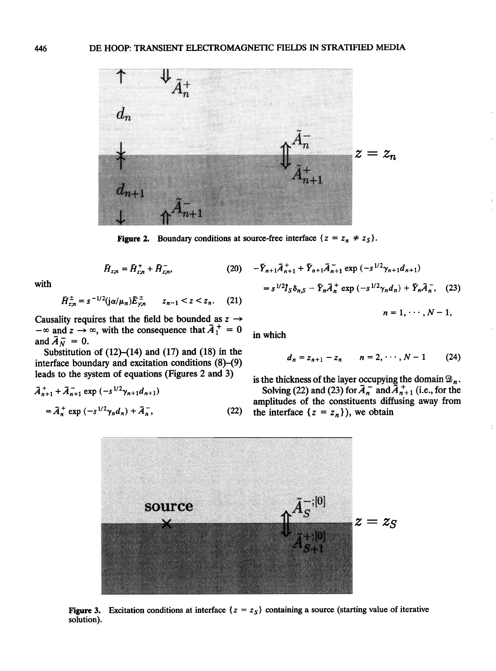

**Figure 2.** Boundary conditions at source-free interface  $\{z = z_n \neq z_S\}$ .

$$
\tilde{H}_{z;n} = \tilde{H}_{z;n}^+ + \tilde{H}_{z;n}^-,\tag{20}
$$

**with** 

$$
\tilde{H}_{z;n}^{\pm} = s^{-1/2} (j\alpha/\mu_n) \tilde{E}_{y;n}^{\pm} \qquad z_{n-1} < z < z_n. \tag{21}
$$

Causality requires that the field be bounded as  $z \rightarrow$  $-\infty$  and  $z \to \infty$ , with the consequence that  $A_1^{\dagger} = 0$ and  $\tilde{A}_N = 0$ .

**Substitution of (12)-(14) and (17) and (18) in the interface boundary and excitation conditions (8)-(9) leads to the system of equations (Figures 2 and 3)** 

$$
\tilde{A}_{n+1}^{+} + \tilde{A}_{n+1}^{-} \exp(-s^{1/2} \gamma_{n+1} d_{n+1})
$$
  
=  $\tilde{A}_{n}^{+} \exp(-s^{1/2} \gamma_{n} d_{n}) + \tilde{A}_{n}^{-},$  (22)

$$
-\tilde{Y}_{n+1}\tilde{A}_{n+1}^{+} + \tilde{Y}_{n+1}\tilde{A}_{n+1}^{-} \exp(-s^{1/2}\gamma_{n+1}d_{n+1})
$$
  
=  $s^{1/2}\hat{I}_{S}\delta_{n,S} - \tilde{Y}_{n}\tilde{A}_{n}^{+} \exp(-s^{1/2}\gamma_{n}d_{n}) + \tilde{Y}_{n}\tilde{A}_{n}^{-},$  (23)  

$$
n = 1, \cdots, N-1,
$$

**in which** 

$$
d_n = z_{n+1} - z_n \qquad n = 2, \cdots, N-1 \qquad (24)
$$

is the thickness of the layer occupying the domain  $\mathfrak{D}_n$ **Solving (22) and (23) for**  $A_n^-$  **and**  $A_{n+1}^-$  **(i.e., for the amplitudes of the constituents diffusing away from**  the interface  $\{z = z_n\}$ , we obtain



**Figure 3.** Excitation conditions at interface  $\{z = z_s\}$  containing a source (starting value of iterative **solution).**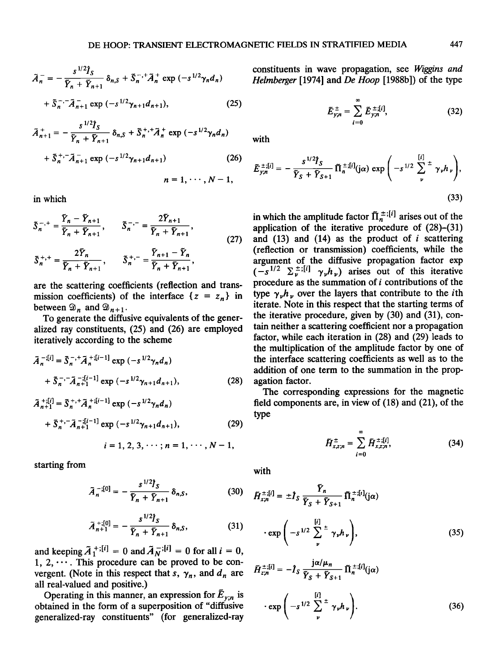$$
\tilde{A}_n^- = -\frac{s^{1/2}\hat{I}_S}{\bar{Y}_n + \bar{Y}_{n+1}} \delta_{n,S} + \tilde{S}_n^{-, +} \tilde{A}_n^+ \exp(-s^{1/2}\gamma_n d_n) + \tilde{S}_n^{-, -} \tilde{A}_{n+1}^- \exp(-s^{1/2}\gamma_{n+1} d_{n+1}),
$$
\n(25)

$$
\tilde{A}_{n+1}^{+} = -\frac{s^{1/2} \tilde{I}_{S}}{\tilde{Y}_{n} + \tilde{Y}_{n+1}} \delta_{n,S} + \tilde{S}_{n}^{+,+} \tilde{A}_{n}^{+} \exp(-s^{1/2} \gamma_{n} d_{n})
$$

$$
+ \tilde{S}_{n}^{+,+} \tilde{A}_{n+1}^{-} \exp(-s^{1/2} \gamma_{n+1} d_{n+1}) \qquad (26)
$$

$$
n = 1, \cdots, N - 1,
$$

**in which** 

$$
\tilde{S}_{n}^{-,+} = \frac{\tilde{Y}_{n} - \tilde{Y}_{n+1}}{\tilde{Y}_{n} + \tilde{Y}_{n+1}}, \qquad \tilde{S}_{n}^{-,-} = \frac{2\tilde{Y}_{n+1}}{\tilde{Y}_{n} + \tilde{Y}_{n+1}},
$$
\n
$$
\tilde{S}_{n}^{+,+} = \frac{2\tilde{Y}_{n}}{\tilde{Y}_{n} + \tilde{Y}_{n+1}}, \qquad \tilde{S}_{n}^{+,-} = \frac{\tilde{Y}_{n+1} - \tilde{Y}_{n}}{\tilde{Y}_{n} + \tilde{Y}_{n+1}},
$$
\n(27)

**are the scattering coefficients (reflection and trans**mission coefficients) of the interface  $\{z = z_n\}$  in between  $\mathcal{D}_n$  and  $\mathcal{D}_{n+1}$ .

**To generate the diffusive equivalents of the generalized ray constituents, (25) and (26) are employed iteratively according to the scheme** 

$$
\bar{A}_{n}^{-:[i]} = \bar{S}_{n}^{-, +} \bar{A}_{n}^{+[i-1]} \exp(-s^{1/2} \gamma_{n} d_{n}) + \bar{S}_{n}^{-, -} \bar{A}_{n+1}^{-:[i-1]} \exp(-s^{1/2} \gamma_{n+1} d_{n+1}),
$$
\n(28)

$$
\tilde{A}_{n+1}^{+, [i]} = \tilde{S}_n^{+,+} \tilde{A}_n^{+, [i-1]} \exp(-s^{1/2} \gamma_n d_n) \n+ \tilde{S}_n^{+,-} \tilde{A}_{n+1}^{-, [i-1]} \exp(-s^{1/2} \gamma_{n+1} d_{n+1}),
$$
\n(29)

$$
i=1, 2, 3, \cdots; n=1, \cdots, N-1,
$$

**starting from** 

$$
\tilde{A}_n^{-;[0]} = -\frac{s^{1/2}I_S}{\tilde{Y}_n + \tilde{Y}_{n+1}} \delta_{n,S},
$$
 (30)

$$
\tilde{A}_{n+1}^{+;[0]} = -\frac{s^{1/2} \hat{J}_S}{\tilde{Y}_n + \tilde{Y}_{n+1}} \, \delta_{n,S},\tag{31}
$$

and keeping  $\tilde{A}_{1}^{+,[i]} = 0$  and  $\tilde{A}_{N}^{-,[i]} = 0$  for all  $i = 0$ , **1, 2, .... This procedure can be proved to be con**vergent. (Note in this respect that s,  $\gamma_n$ , and  $d_n$  are **all real-valued and positive.)** 

Operating in this manner, an expression for  $\bar{E}_{v;n}$  is **obtained in the form of a superposition of "diffusive generalized-ray constituents" (for generalized-ray**  **constituents in wave propagation, see Wiggins and Helmberger [1974] and De Hoop [1988b]) of the type** 

$$
\tilde{E}_{y;n}^{\pm} = \sum_{i=0}^{\infty} \tilde{E}_{y;n}^{\pm; [i]}, \qquad (32)
$$

**with** 

$$
\tilde{E}_{y;n}^{\pm;[i]} = -\frac{s^{1/2} \hat{I}_S}{\tilde{Y}_S + \tilde{Y}_{S+1}} \tilde{\Pi}_n^{\pm;[i]}(j\alpha) \exp\left(-s^{1/2} \sum_{\nu}^{[i]} \pm \gamma_{\nu} h_{\nu}\right),\tag{33}
$$

in which the amplitude factor  $\overline{\Pi}_n^{\pm; [i]}$  arises out of the **application of the iterative procedure of (28)-(31)**  and  $(13)$  and  $(14)$  as the product of  $i$  scattering **(reflection or transmission) coefficients, while the argument of the diffusive propagation factor exp**   $(-s^{1/2} \sum_{\nu}^{\pm}$ ;[*i*]  $\gamma_{\nu}h_{\nu}$ ) arises out of this iterative **procedure as the summation of i contributions of the**  type  $\gamma_{\nu}h_{\nu}$  over the layers that contribute to the *i*th **iterate. Note in this respect that the starting terms of the iterative procedure, given by (30) and (31), contain neither a scattering coefficient nor a propagation factor, while each iteration in (28) and (29) leads to the multiplication of the amplitude factor by one of the interface scattering coefficients as well as to the addition of one term to the summation in the propagation factor.** 

**The corresponding expressions for the magnetic field components are, in view of (18) and (21), of the type** 

$$
\tilde{H}_{x,z;n}^{\pm} = \sum_{i=0}^{\infty} \tilde{H}_{x,z;n}^{\pm;[i]},
$$
 (34)

**with** 

$$
\tilde{H}_{x,n}^{\pm,[i]} = \pm \hat{I}_S \frac{\tilde{Y}_n}{\tilde{Y}_S + \tilde{Y}_{S+1}} \tilde{\Pi}_n^{\pm,[i]}(j\alpha)
$$

$$
\cdot \exp\left(-s^{1/2} \sum_{\nu}^{[i]} \pm \gamma_{\nu} h_{\nu}\right), \tag{35}
$$

$$
\tilde{H}_{z,n}^{\pm,[i]} = -\hat{I}_S \frac{J\alpha/\mu_n}{\tilde{Y}_S + \tilde{Y}_{S+1}} \tilde{\Pi}_n^{\pm,[i]}(j\alpha)
$$

$$
\cdot \exp\left(-s^{1/2} \sum_{\nu}^{[i]} \tilde{\tau}_{\gamma,\mu} \right).
$$
(36)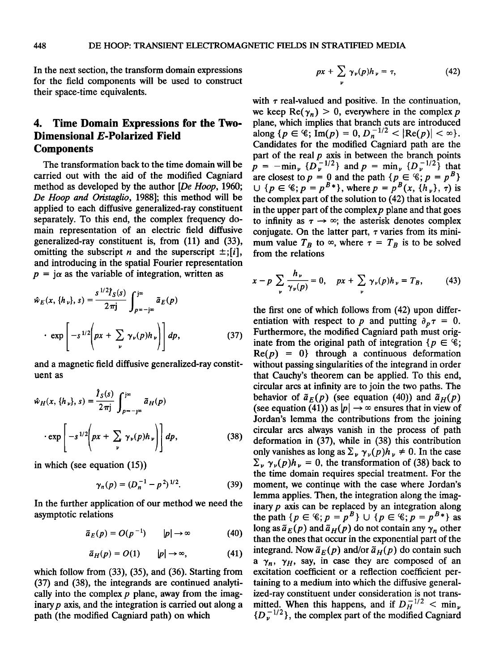**In the next section, the transform domain expressions for the field components will be used to construct their space-time equivalents.** 

### **4. Time Domain Expressions for the Two-Dimensional E-Polarized Field Components**

**The transformation back to the time domain will be carried out with the aid of the modified Cagniard method as developed by the author [De Hoop, 1960;**  De Hoop and Oristaglio, 1988]; this method will be **applied to each diffusive generalized-ray constituent separately. To this end, the complex frequency domain representation of an electric field diffusive generalized-ray constituent is, from (11) and (33),**  omitting the subscript *n* and the superscript  $\pm$ ;[*i*], **and introducing in the spatial Fourier representation**   $p = j\alpha$  as the variable of integration, written as

$$
\hat{w}_E(x, \{h_\nu\}, s) = \frac{s^{1/2} \hat{f}_S(s)}{2\pi j} \int_{p=-j\infty}^{j\infty} \tilde{a}_E(p)
$$
  
 
$$
\cdot \exp\left[-s^{1/2}\left(px + \sum_{\nu} \gamma_{\nu}(p)h_{\nu}\right)\right] dp,
$$
 (37)

**and a magnetic field diffusive generalized-ray constituent as** 

$$
\hat{w}_H(x, \{h_\nu\}, s) = \frac{\hat{I}_S(s)}{2\pi j} \int_{p=-\infty}^{j\infty} \tilde{a}_H(p)
$$

$$
\cdot \exp\left[-s^{1/2}\left(px + \sum_{\nu} \gamma_{\nu}(p)h_{\nu}\right)\right] dp,
$$
(38)

**in which (see equation (15))** 

$$
\gamma_n(p) = (D_n^{-1} - p^2)^{1/2}.
$$
 (39)

**In the further application of our method we need the asymptotic relations** 

 $\tilde{a}_E(p) = O(p^{-1})$   $|p| \rightarrow \infty$  (40)

$$
\tilde{a}_H(p) = O(1) \qquad |p| \to \infty, \tag{41}
$$

**which follow from (33), (35), and (36). Starting from (37) and (38), the integrands are continued analytically into the complex p plane, away from the imaginary p axis, and the integration is carried out along a path (the modified Cagniard path) on which** 

$$
px + \sum_{\nu} \gamma_{\nu}(p)h_{\nu} = \tau, \qquad (42)
$$

with  $\tau$  real-valued and positive. In the continuation, we keep  $Re(\gamma_n) > 0$ , everywhere in the complex p **plane, which implies that branch cuts are introduced**   $\text{along } \{p \in \mathcal{C}; \text{Im}(p) = 0, D_n^{-1/2} < |\text{Re}(p)| < \infty\}.$ **Candidates for the modified Cagniard path are the part of the real p axis in between the branch points p** =  $-\min_{\nu} {\{D_{\nu}^{-1/2}\}}$  and  $p = \min_{\nu} {\{D_{\nu}^{-1/2}\}}$  that are closest to  $p = 0$  and the path  $\{p \in \mathcal{C}; p = p^B\}$ ∪ { $p \in \mathcal{C}$ ;  $p = p^{B*}$ }, where  $p = p^{B}(x, \{h_y\}, \tau)$  is **the complex part of the solution to (42) that is located**  in the upper part of the complex  $p$  plane and that goes to infinity as  $\tau \rightarrow \infty$ ; the asterisk denotes complex conjugate. On the latter part,  $\tau$  varies from its mini**mum value T<sub>B</sub> to**  $\infty$ **, where**  $\tau = T_B$  **is to be solved from the relations** 

$$
x - p \sum_{\nu} \frac{h_{\nu}}{\gamma_{\nu}(p)} = 0, \quad px + \sum_{\nu} \gamma_{\nu}(p)h_{\nu} = T_B, \quad (43)
$$

 $\mathbb{R}^n$  exp  $\left[-s^{1/2}\left(px + \sum_{\nu} \gamma_{\nu}(p)h_{\nu}\right)\right] dp$ , (37) **Furthermore**, the modified Cagniard path must original  $\text{path of}$  integration  $\{p \in \mathcal{C}\}\$ ;  $\text{Re}(p) = 0\}$  through a continuous deformation  $\mathbb{E} \left[ -s^{1/2} \left[ px + \sum_{\nu} \gamma_{\nu}(p)h_{\nu} \right] \right] dp$ , (38) deformation in (37), while in (38) this contribution only vanishes as long as  $\Sigma_{\nu} \gamma_{\nu}(p)h_{\nu} \neq 0$ . In the case **the first one of which follows from (42) upon differ**entiation with respect to p and putting  $\partial_p \tau = 0$ . **Furthermore, the modified Cagniard path must orig**inate from the original path of integration  $\{p \in \mathcal{C}\}\$ ; **without passing singularities of the integrand in order that Cauchy's theorem can be applied. To this end, circular arcs at infinity are to join the two paths. The**  behavior of  $\tilde{a}_E(p)$  (see equation (40)) and  $\tilde{a}_H(p)$ (see equation (41)) as  $|p| \rightarrow \infty$  ensures that in view of **Jordan's lemma the contributions from the joining circular arcs always vanish in the process of path deformation in (37), while in (38) this contribution**   $\sum_{\nu} \gamma_{\nu}(p) h_{\nu} = 0$ , the transformation of (38) back to **the time domain requires special treatment. For the**  moment, we continue with the case where Jordan's **lemma applies. Then, the integration along the imaginary p axis can be replaced by an integration along**  the path  $\{p \in \mathscr{C}; p = p^B\} \cup \{p \in \mathscr{C}; p = p^{B*}\}\$  as  $\log$  as  $\tilde{a}_F(p)$  and  $\tilde{a}_H(p)$  do not contain any  $\gamma_n$  other **than the ones that occur in the exponential part of the**  integrand. Now  $\tilde{a}_E(p)$  and/or  $\tilde{a}_H(p)$  do contain such **a**  $\gamma_n$ ,  $\gamma_H$ , say, in case they are composed of an **excitation coefficient or a reflection coefficient pertaining to a medium into which the diffusive generalized-ray constituent under consideration is not trans**mitted. When this happens, and if  $D_H^{-1/2} < \min_{\nu}$  ${D}_{\nu}^{-1/2}$ , the complex part of the modified Cagniard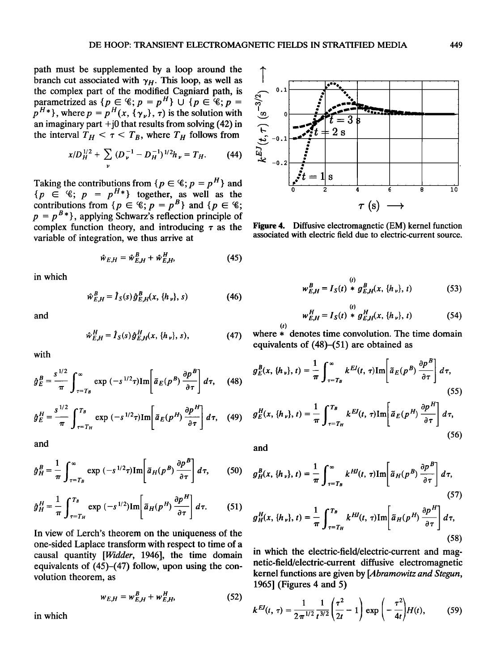**path must be supplemented by a loop around the**  branch cut associated with  $\gamma_H$ . This loop, as well as **the complex part of the modified Cagniard path, is parametrized as**  $\{p \in \mathscr{C}; p = p^n\} \cup \{p \in \mathscr{C}; p = p\}$  $p^{H*}$ , where  $p = p^{H}(x, {\gamma_{\nu}})$ ,  $\tau$ ) is the solution with **an imaginary part +j0 that results from solving (42) in**  the interval  $T_H < \tau < T_B$ , where  $T_H$  follows from

$$
x/D_H^{1/2} + \sum_{\nu} (D_{\nu}^{-1} - D_H^{-1})^{1/2} h_{\nu} = T_H.
$$
 (44)

Taking the contributions from  $\{p \in \mathscr{C}; p = p^H\}$  and  ${p \in \mathcal{C}$ ;  $p = p^H*}$  together, as well as the contributions from  $\{p \in \mathscr{C}, p = p^B\}$  and  $\{p \in \mathscr{C}\}$ ;  $p = p^{B*}$ , applying Schwarz's reflection principle of complex function theory, and introducing  $\tau$  as the **variable of integration, we thus arrive at** 

$$
\hat{w}_{E,H} = \hat{w}_{E,H}^B + \hat{w}_{E,H}^H,
$$
\n(45)

**in which** 

$$
\hat{w}_{E,H}^{B} = \hat{I}_{S}(s) \hat{g}_{E,H}^{B}(x, \{h_{\nu}\}, s)
$$
 (46)

**and** 

$$
\hat{w}_{E,H}^{H} = \hat{I}_{S}(s) \hat{g}_{E,H}^{H}(x, \{h_{\nu}\}, s),
$$
 (47)

**with** 

$$
\hat{g}_E^B = \frac{s^{1/2}}{\pi} \int_{\tau=T_B}^{\infty} \exp(-s^{1/2}\tau) \text{Im}\left[\tilde{a}_E(p^B) \frac{\partial p^B}{\partial \tau}\right] d\tau, \quad (48)
$$

$$
\hat{g}_E^H = \frac{s^{1/2}}{\pi} \int_{\tau = T_H}^{T_B} \exp(-s^{1/2}\tau) \text{Im} \left[ \tilde{a}_E(p^H) \frac{\partial p^H}{\partial \tau} \right] d\tau, \quad (49)
$$

**and** 

$$
\hat{g}_{H}^{B} = \frac{1}{\pi} \int_{\tau=T_{B}}^{\infty} \exp(-s^{1/2}\tau) \text{Im}\left[\tilde{a}_{H}(p^{B}) \frac{\partial p^{B}}{\partial \tau}\right] d\tau, \qquad (50)
$$

$$
\hat{g}_{H}^{H} = \frac{1}{\pi} \int_{\tau=T_{H}}^{T_{B}} \exp(-s^{1/2}) \text{Im} \left[ \tilde{a}_{H}(p^{H}) \frac{\partial p^{H}}{\partial \tau} \right] d\tau. \tag{51}
$$

**In view of Lerch's theorem on the uniqueness of the one-sided Laplace transform with respect to time of a causal quantity [Widder, 1946], the time domain equivalents of (45)-(47) follow, upon using the convolution theorem, as** 

$$
w_{E,H} = w_{E,H}^B + w_{E,H}^H,
$$
 (52)

**in which** 



**Figure 4. Diffusive electromagnetic (EM) kernel function associated with electric field due to electric-current source.** 

$$
w_{E,H}^{B} = I_{S}(t) * g_{E,H}^{B}(x, \{h_{\nu}\}, t)
$$
 (53)

$$
w_{E,H}^{H} = I_{S}(t) * g_{E,H}^{H}(x, \{h_{\nu}\}, t)
$$
 (54)

where  $*$  denotes time convolution. The time domain **where equivalents of (48)-(51) are obtained as** 

$$
g_E^B(x, \{h_v\}, t) = \frac{1}{\pi} \int_{\tau = T_B}^{\infty} k^{EI}(t, \tau) \text{Im} \left[ \tilde{a}_E(p^B) \frac{\partial p^B}{\partial \tau} \right] d\tau,
$$
\n(55)

$$
g_E^H(x, \{h_v\}, t) = \frac{1}{\pi} \int_{\tau = T_H}^{T_B} k^{EI}(t, \tau) \text{Im} \left[ \bar{a}_E(p^H) \frac{\partial p^H}{\partial \tau} \right] d\tau,
$$
\n(56)

**and** 

$$
g_H^B(x, \{h_v\}, t) = \frac{1}{\pi} \int_{\tau=T_B}^{\infty} k^{HJ}(t, \tau) \text{Im} \left[ \tilde{a}_H(p^B) \frac{\partial p^B}{\partial \tau} \right] d\tau,
$$
\n(57)

$$
g_H^H(x, \{h_\nu\}, t) = \frac{1}{\pi} \int_{\tau = T_H}^{T_B} k^{HJ}(t, \tau) \text{Im} \left[ \tilde{a}_H(p^H) \frac{\partial p^H}{\partial \tau} \right] d\tau,
$$
\n(58)

**in which the electric-field/electric-current and magnetic-field/electric-current diffusive electromagnetic kernel functions are given by [Abramowitz and Stegun, 1965] (Figures 4 and 5)** 

$$
k^{EJ}(t, \tau) = \frac{1}{2\pi^{1/2}} \frac{1}{t^{3/2}} \left(\frac{\tau^2}{2t} - 1\right) \exp\left(-\frac{\tau^2}{4t}\right) H(t), \quad (59)
$$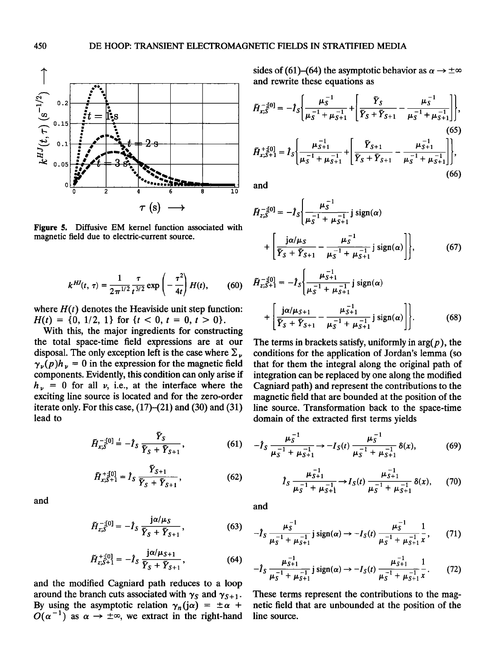

**Figure 5. Diffusive EM kernel function associated with magnetic field due to electric-current source.** 

$$
k^{HI}(t, \tau) = \frac{1}{2\pi^{1/2}} \frac{\tau}{t^{3/2}} \exp\left(-\frac{\tau^2}{4t}\right) H(t), \quad (60) \quad \dot{I}
$$

where  $H(t)$  denotes the Heaviside unit step function:  $H(t) = \{0, 1/2, 1\}$  for  $\{t < 0, t = 0, t > 0\}$ .

**With this, the major ingredients for constructing the total space-time field expressions are at our**  disposal. The only exception left is the case where  $\Sigma$ .  $\gamma_{\nu}(p)h_{\nu}=0$  in the expression for the magnetic field **components. Evidently, this condition can only arise if**   $h_{\nu}$  = 0 for all  $\nu$ , i.e., at the interface where the **exciting line source is located and for the zero-order iterate only. For this case, (17)-(21) and (30) and (31) lead to** 

$$
\tilde{H}_{x,S}^{-,[0]} = -\hat{I}_S \frac{\tilde{Y}_S}{\tilde{Y}_S + \tilde{Y}_{S+1}},
$$
 (61)

$$
\tilde{H}_{x,S+1}^{+[0]} = \hat{I}_S \frac{\tilde{Y}_{S+1}}{\tilde{Y}_S + \tilde{Y}_{S+1}},
$$
\n(62)

**and** 

$$
\tilde{H}_{z,S}^{-,[0]} = -\hat{I}_S \, \frac{j\alpha/\mu_S}{\bar{Y}_S + \bar{Y}_{S+1}},\tag{63}
$$

$$
\tilde{H}_{z,S+1}^{+[0]} = -\hat{I}_S \, \frac{j\alpha/\mu_{S+1}}{\tilde{Y}_S + \tilde{Y}_{S+1}},\tag{64}
$$

**and the modified Cagniard path reduces to a loop**  around the branch cuts associated with  $\gamma_s$  and  $\gamma_{s+1}$ . By using the asymptotic relation  $\gamma_n(i\alpha) = \pm \alpha$  +  $O(\alpha^{-1})$  as  $\alpha \to \pm \infty$ , we extract in the right-hand sides of (61)–(64) the asymptotic behavior as  $\alpha \rightarrow \pm \infty$ **and rewrite these equations as** 

$$
\tilde{H}_{x;S}^{-,[0]} = -\hat{I}_S \Bigg\{ \frac{\mu_S^{-1}}{\mu_S^{-1} + \mu_{S+1}^{-1}} + \Bigg[ \frac{\tilde{Y}_S}{\tilde{Y}_S + \tilde{Y}_{S+1}} - \frac{\mu_S^{-1}}{\mu_S^{-1} + \mu_{S+1}^{-1}} \Bigg] \Bigg\},\tag{65}
$$
\n
$$
\tilde{H}_{x;S+1}^{+[0]} = \hat{I}_S \Bigg\{ \frac{\mu_{S+1}^{-1}}{\mu_S^{-1} + \mu_{S+1}^{-1}} + \Bigg[ \frac{\tilde{Y}_{S+1}}{\tilde{Y}_S + \tilde{Y}_{S+1}} - \frac{\mu_{S+1}^{-1}}{\mu_S^{-1} + \mu_{S+1}^{-1}} \Bigg] \Bigg\},\tag{66}
$$

**and** 

$$
\tilde{H}_{z;S}^{-[0]} = -\hat{I}_{S} \left\{ \frac{\mu_{S}^{-1}}{\mu_{S}^{-1} + \mu_{S+1}^{-1}} j \operatorname{sign}(\alpha) + \left[ \frac{j\alpha/\mu_{S}}{\tilde{Y}_{S} + \tilde{Y}_{S+1}} - \frac{\mu_{S}^{-1}}{\mu_{S}^{-1} + \mu_{S+1}^{-1}} j \operatorname{sign}(\alpha) \right] \right\},
$$
(67)

$$
\tilde{H}_{z;S+1}^{-[0]} = -\hat{I}_S \bigg\{ \frac{\mu_{S+1}}{\mu_S^{-1} + \mu_{S+1}^{-1}} j \operatorname{sign}(\alpha) + \bigg[ \frac{j\alpha/\mu_{S+1}}{\tilde{Y}_S + \tilde{Y}_{S+1}} - \frac{\mu_{S+1}^{-1}}{\mu_S^{-1} + \mu_{S+1}^{-1}} j \operatorname{sign}(\alpha) \bigg] \bigg\}. \tag{68}
$$

**The terms in brackets satisfy, uniformly in arg(p), the conditions for the application of Jordan's lemma (so that for them the integral along the original path of integration can be replaced by one along the modified**  Cagniard path) and represent the contributions to the **magnetic field that are bounded at the position of the line source. Transformation back to the space-time domain of the extracted first terms yields** 

$$
-\hat{I}_S \xrightarrow[\mu_S^{-1} + \mu_{S+1}^{-1}]{} \to -I_S(t) \xrightarrow[\mu_S^{-1} + \mu_{S+1}^{-1}]{} \delta(x), \tag{69}
$$

$$
\hat{I}_S \frac{\mu_{S+1}^{-1}}{\mu_S^{-1} + \mu_{S+1}^{-1}} \to I_S(t) \frac{\mu_{S+1}^{-1}}{\mu_S^{-1} + \mu_{S+1}^{-1}} \delta(x), \qquad (70)
$$

**and** 

$$
- \hat{I}_S \, \frac{\mu_S^{-1}}{\mu_S^{-1} + \mu_{S+1}^{-1}} \, j \, \text{sign}(\alpha) \to -I_S(t) \, \frac{\mu_S^{-1}}{\mu_S^{-1} + \mu_{S+1}^{-1}} \frac{1}{x} \,, \qquad (71)
$$

$$
- \hat{I}_S \, \frac{\mu_{S+1}^{-1}}{\mu_S^{-1} + \mu_{S+1}^{-1}} \, j \, \text{sign}(\alpha) \to -I_S(t) \, \frac{\mu_{S+1}^{-1}}{\mu_S^{-1} + \mu_{S+1}^{-1}} \frac{1}{x} \,. \tag{72}
$$

**These terms represent the contributions to the magnetic field that are unbounded at the position of the line source.**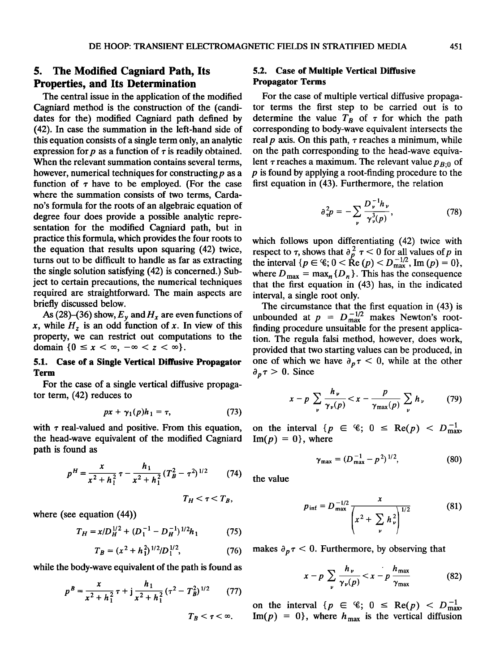### **5. The Modified Cagniard Path, Its Properties, and Its Determination**

**The central issue in the application of the modified Cagniard method is the construction of the (candidates for the) modified Cagniard path defined by (42). In case the summation in the left-hand side of this equation consists of a single term only, an analytic**  expression for  $p$  as a function of  $\tau$  is readily obtained. **When the relevant summation contains several terms,**  however, numerical techniques for constructing p as a function of  $\tau$  have to be employed. (For the case **where the summation consists of two terms, Cardano's formula for the roots of an algebraic equation of degree four does provide a possible analytic representation for the modified Cagniard path, but in practice this formula, which provides the four roots to the equation that results upon squaring (42) twice, turns out to be difficult to handle as far as extracting the single solution satisfying (42) is concerned.) Subject to certain precautions, the numerical techniques required are straightforward. The main aspects are briefly discussed below.** 

As (28)–(36) show,  $E_v$  and  $H_x$  are even functions of  $x$ , while  $H<sub>z</sub>$  is an odd function of x. In view of this **property, we can restrict out computations to the**  domain  $\{0 \le x < \infty, -\infty < z < \infty\}.$ 

#### **5.1. Case of a Single Vertical Diffusive Propagator Term**

**For the case of a single vertical diffusive propagator term, (42) reduces to** 

$$
px + \gamma_1(p)h_1 = \tau, \qquad (73)
$$

with  $\tau$  real-valued and positive. From this equation, **the head-wave equivalent of the modified Cagniard path is found as** 

$$
p^{H} = \frac{x}{x^2 + h_1^2} \tau - \frac{h_1}{x^2 + h_1^2} (T_B^2 - \tau^2)^{1/2}
$$
 (74)

$$
T_H < \tau < T_B,
$$

**where (see equation (44))** 

$$
T_H = x/D_H^{1/2} + (D_1^{-1} - D_H^{-1})^{1/2}h_1 \tag{75}
$$

$$
T_B = (x^2 + h_1^2)^{1/2}/D_1^{1/2},\tag{76}
$$

**while the body-wave equivalent of the path is found as** 

$$
p^{B} = \frac{x}{x^{2} + h_{1}^{2}} \tau + j \frac{h_{1}}{x^{2} + h_{1}^{2}} (\tau^{2} - T_{B}^{2})^{1/2}
$$
 (77)

### **5.2. Case of Multiple Vertical Diffusive Propagator Terms**

**For the case of multiple vertical diffusive propagator terms the first step to be carried out is to**  determine the value  $T<sub>B</sub>$  of  $\tau$  for which the path **corresponding to body-wave equivalent intersects the**  real  $p$  axis. On this path,  $\tau$  reaches a minimum, while **on the path corresponding to the head-wave equiva**lent  $\tau$  reaches a maximum. The relevant value  $p_{R<sub>0</sub>}$  of **p is found by applying a root-finding procedure to the first equation in (43). Furthermore, the relation** 

$$
\partial_{\tau}^{2}p = -\sum_{\nu} \frac{D_{\nu}^{-1}h_{\nu}}{\gamma_{\nu}^{3}(p)}, \qquad (78)
$$

**which follows upon differentiating (42) twice with Prespect to**  $\tau$ **, shows that**  $\frac{\partial^2}{\partial p} \tau \leq 0$  **for all values of p in** the interval  $\{p \in \mathcal{C}; 0 < \text{Re}(p) < D_{\text{max}}^{-1/2}, \text{Im}(p) = 0\},\$ where  $D_{\text{max}} = \max_{n} \{D_n\}$ . This has the consequence **that the first equation in (43) has, in the indicated interval, a single root only.** 

**The circumstance that the first equation in (43) is**  unbounded at  $p = D_{\text{max}}^{-1/2}$  makes Newton's root**finding procedure unsuitable for the present application. The regula falsi method, however, does work, provided that two starting values can be produced, in**  one of which we have  $\partial_p \tau \leq 0$ , while at the other  $\partial_p \tau > 0$ . Since

$$
x-p\sum_{\nu}\frac{h_{\nu}}{\gamma_{\nu}(p)}
$$

on the interval  $\{p \in \mathcal{C}; 0 \leq \text{Re}(p) < D_{\text{max}}^{-1}\}$  $\text{Im}(p) = 0$ , where

$$
\gamma_{\text{max}} = (D_{\text{max}}^{-1} - p^2)^{1/2}, \tag{80}
$$

**the value** 

$$
p_{\text{inf}} = D_{\text{max}}^{-1/2} \frac{x}{\left(x^2 + \sum_{\nu} h_{\nu}^2\right)^{1/2}}
$$
 (81)

makes  $\partial_p \tau < 0$ . Furthermore, by observing that

$$
x - p \sum_{\nu} \frac{h_{\nu}}{\gamma_{\nu}(p)} < x - p \frac{h_{\max}}{\gamma_{\max}} \tag{82}
$$

on the interval  $\{p \in \mathcal{C}; 0 \leq \text{Re}(p) < D_{\text{max}}^{-1}\}$  $\text{Im}(p) = 0$ , where  $h_{\text{max}}$  is the vertical diffusion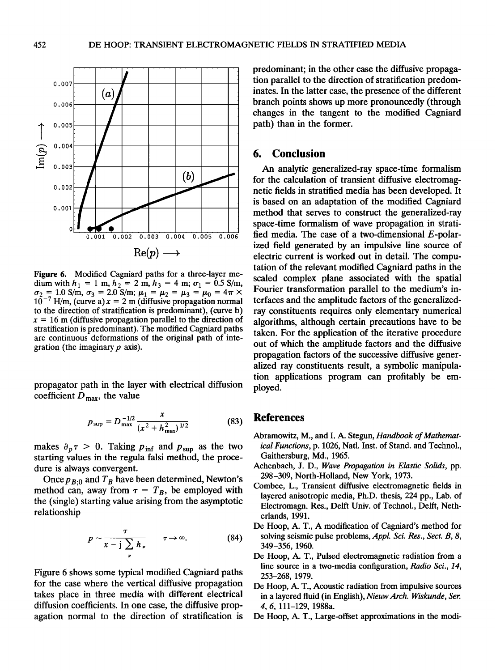

**Figure 6. Modified Cagniard paths for a three-layer me**dium with  $h_1 = 1$  m,  $h_2 = 2$  m,  $h_3 = 4$  m;  $\sigma_1 = 0.5$  S/m,  $\sigma_2 = 1.0$  S/m,  $\sigma_3 = 2.0$  S/m;  $\mu_1 = \mu_2 = \mu_3 = \mu_0 = 4\pi \times$  $10^{-7}$  H/m, (curve a)  $x = 2$  m (diffusive propagation normal **to the direction of stratification is predominant), (curve b)**   $x = 16$  m (diffusive propagation parallel to the direction of **stratification is predominant). The modified Cagniard paths are continuous deformations of the original path of integration (the imaginary p axis).** 

**propagator path in the layer with electrical diffusion**  coefficient  $D_{\text{max}}$ , the value

$$
p_{\sup} = D_{\max}^{-1/2} \frac{x}{(x^2 + h_{\max}^2)^{1/2}}
$$
 (83)

makes  $\partial_p \tau > 0$ . Taking  $p_{\text{inf}}$  and  $p_{\text{sup}}$  as the two **starting values in the regula falsi method, the procedure is always convergent.** 

Once  $p_{B:0}$  and  $T_B$  have been determined, Newton's method can, away from  $\tau = T_B$ , be employed with **the (single) starting value arising from the asymptotic relationship** 

$$
p \sim \frac{\tau}{x - j \sum_{\nu} h_{\nu}} \qquad \tau \to \infty. \tag{84}
$$

**Figure 6 shows some typical modified Cagniard paths for the case where the vertical diffusive propagation takes place in three media with different electrical diffusion coefficients. In one case, the diffusive propagation normal to the direction of stratification is**  **predominant; in the other case the diffusive propagation parallel to the direction of stratification predominates. In the latter case, the presence of the different branch points shows up more pronouncedly (through changes in the tangent to the modified Cagniard path) than in the former.** 

### **6. Conclusion**

**An analytic generalized-ray space-time formalism for the calculation of transient diffusive electromagnetic fields in stratified media has been developed. It is based on an adaptation of the modified Cagniard method that serves to construct the generalized-ray space-time formalism of wave propagation in stratified media. The case of a two-dimensional E-polarized field generated by an impulsive line source of electric current is worked out in detail. The computation of the relevant modified Cagniard paths in the scaled complex plane associated with the spatial Fourier transformation parallel to the medium's interfaces and the amplitude factors of the generalizedray constituents requires only elementary numerical algorithms, although certain precautions have to be taken. For the application of the iterative procedure out of which the amplitude factors and the diffusive propagation factors of the successive diffusive generalized ray constituents result, a symbolic manipulation applications program can profitably be employed.** 

#### **References**

- **Abramowitz, M., and I. A. Stegun, Handbook of Mathematical Functions, p. 1026, Natl. Inst. of Stand. and Technol., Gaithersburg, Md., 1965.**
- **Achenbach, J. D., Wave Propagation in Elastic Solids, pp. 298-309, North-Holland, New York, 1973.**
- **Combee, L., Transient diffusive electromagnetic fields in layered anisotropic media, Ph.D. thesis, 224 pp., Lab. of Electromagn. Res., Delft Univ. of Technol., Delft, Netherlands, 1991.**
- **De Hoop, A. T., A modification of Cagniard's method for solving seismic pulse problems, Appl. Sci. Res., Sect. B, 8, 349-356, 1960.**
- **De Hoop, A. T., Pulsed electromagnetic radiation from a line source in a two-media configuration, Radio Sci., 14, 253-268, 1979.**
- **De Hoop, A. T., Acoustic radiation from impulsive sources in a layered fluid (in English), Nieuw Arch. Wiskunde, Ser. 4, 6, 111-129, 1988a.**
- **De Hoop, A. T., Large-offset approximations in the modi-**